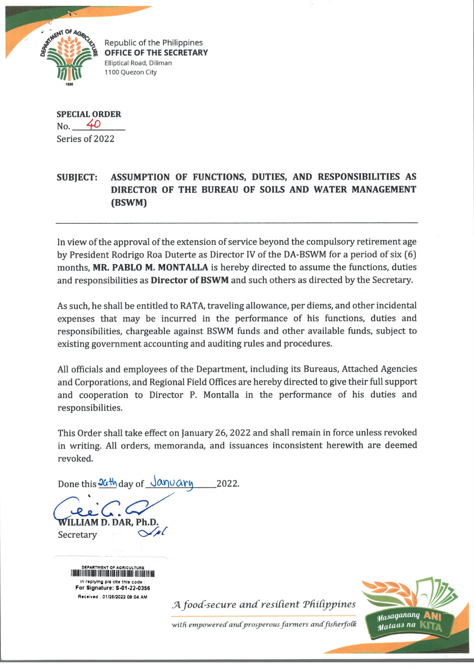

Republic of the Philippines **OFFICE OF THE SECRETARY** Elliptical Road, Diliman 1100 Quezon City

**SPECIAL ORDER** No. *4 0* Series of 2022

## **SUBJECT: ASSUMPTION OF FUNCTIONS, DUTIES, AND RESPONSIBILITIES AS DIRECTOR OF THE BUREAU OF SOILS AND WATER MANAGEMENT (BSWM)**

In view of the approval of the extension of service beyond the compulsory retirement age by President Rodrigo Roa Duterte as Director IV of the DA-BSWM for a period of six (6) months, **MR. PABLO M. MONTALLA** is hereby directed to assume the functions, duties and responsibilities as **Director of BSWM** and such others as directed by the Secretary.

As such, he shall be entitled to RATA, traveling allowance, per diems, and other incidental expenses that may be incurred in the performance of his functions, duties and responsibilities, chargeable against BSWM funds and other available funds, subject to existing government accounting and auditing rules and procedures.

All officials and employees of the Department, including its Bureaus, Attached Agencies and Corporations, and Regional Field Offices are hereby directed to give their full support and cooperation to Director P. Montalla in the performance of his duties and responsibilities.

This Order shall take effect on January 26, 2022 and shall remain in force unless revoked in writing. All orders, memoranda, and issuances inconsistent herewith are deemed revoked.

Done this  $36$ <sup>th</sup> day of  $\sqrt{a\eta v \alpha r}$  2022.

**WILLIAM D. DAR. Ph.I** 

**Secretary** 

DEPARTMENT OF AGRICULTURE OF AGRICULTURE OF AGRICULTURE OF AGRICULTURE OF AGRICULTURE OF AGRICULTURE OF AGRICU In replying pis cite this code : For Signature: S-01-22-03S6 Received : 01/26/2022 06:04 AM

A food-secure and resilient Philippines

with empowered and prosperous farmers and fisherfolk